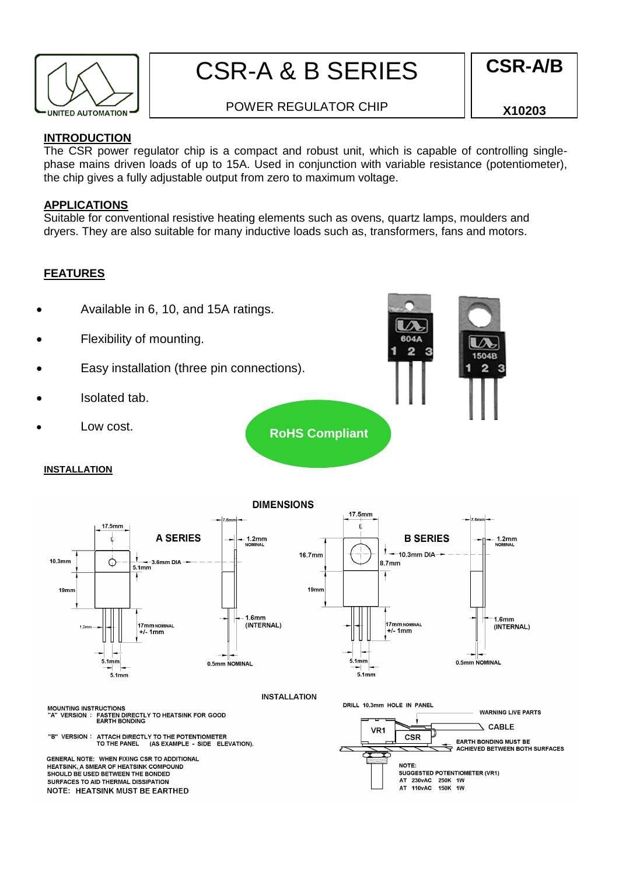

# CSR-A & B SERIES

## **CSR-A/B**

### POWER REGULATOR CHIP

**X10203**

#### **INTRODUCTION**

The CSR power regulator chip is a compact and robust unit, which is capable of controlling singlephase mains driven loads of up to 15A. Used in conjunction with variable resistance (potentiometer), the chip gives a fully adjustable output from zero to maximum voltage.

#### **APPLICATIONS**

Suitable for conventional resistive heating elements such as ovens, quartz lamps, moulders and dryers. They are also suitable for many inductive loads such as, transformers, fans and motors.

#### **FEATURES**